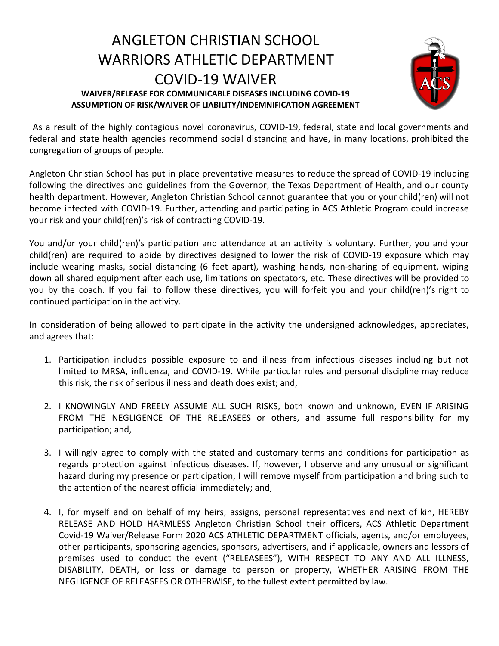## ANGLETON CHRISTIAN SCHOOL WARRIORS ATHLETIC DEPARTMENT COVID-19 WAIVER **WAIVER/RELEASE FOR COMMUNICABLE DISEASES INCLUDING COVID-19 ASSUMPTION OF RISK/WAIVER OF LIABILITY/INDEMNIFICATION AGREEMENT**



As a result of the highly contagious novel coronavirus, COVID-19, federal, state and local governments and federal and state health agencies recommend social distancing and have, in many locations, prohibited the congregation of groups of people.

Angleton Christian School has put in place preventative measures to reduce the spread of COVID-19 including following the directives and guidelines from the Governor, the Texas Department of Health, and our county health department. However, Angleton Christian School cannot guarantee that you or your child(ren) will not become infected with COVID-19. Further, attending and participating in ACS Athletic Program could increase your risk and your child(ren)'s risk of contracting COVID-19.

You and/or your child(ren)'s participation and attendance at an activity is voluntary. Further, you and your child(ren) are required to abide by directives designed to lower the risk of COVID-19 exposure which may include wearing masks, social distancing (6 feet apart), washing hands, non-sharing of equipment, wiping down all shared equipment after each use, limitations on spectators, etc. These directives will be provided to you by the coach. If you fail to follow these directives, you will forfeit you and your child(ren)'s right to continued participation in the activity.

In consideration of being allowed to participate in the activity the undersigned acknowledges, appreciates, and agrees that:

- 1. Participation includes possible exposure to and illness from infectious diseases including but not limited to MRSA, influenza, and COVID-19. While particular rules and personal discipline may reduce this risk, the risk of serious illness and death does exist; and,
- 2. I KNOWINGLY AND FREELY ASSUME ALL SUCH RISKS, both known and unknown, EVEN IF ARISING FROM THE NEGLIGENCE OF THE RELEASEES or others, and assume full responsibility for my participation; and,
- 3. I willingly agree to comply with the stated and customary terms and conditions for participation as regards protection against infectious diseases. If, however, I observe and any unusual or significant hazard during my presence or participation, I will remove myself from participation and bring such to the attention of the nearest official immediately; and,
- 4. I, for myself and on behalf of my heirs, assigns, personal representatives and next of kin, HEREBY RELEASE AND HOLD HARMLESS Angleton Christian School their officers, ACS Athletic Department Covid-19 Waiver/Release Form 2020 ACS ATHLETIC DEPARTMENT officials, agents, and/or employees, other participants, sponsoring agencies, sponsors, advertisers, and if applicable, owners and lessors of premises used to conduct the event ("RELEASEES"), WITH RESPECT TO ANY AND ALL ILLNESS, DISABILITY, DEATH, or loss or damage to person or property, WHETHER ARISING FROM THE NEGLIGENCE OF RELEASEES OR OTHERWISE, to the fullest extent permitted by law.